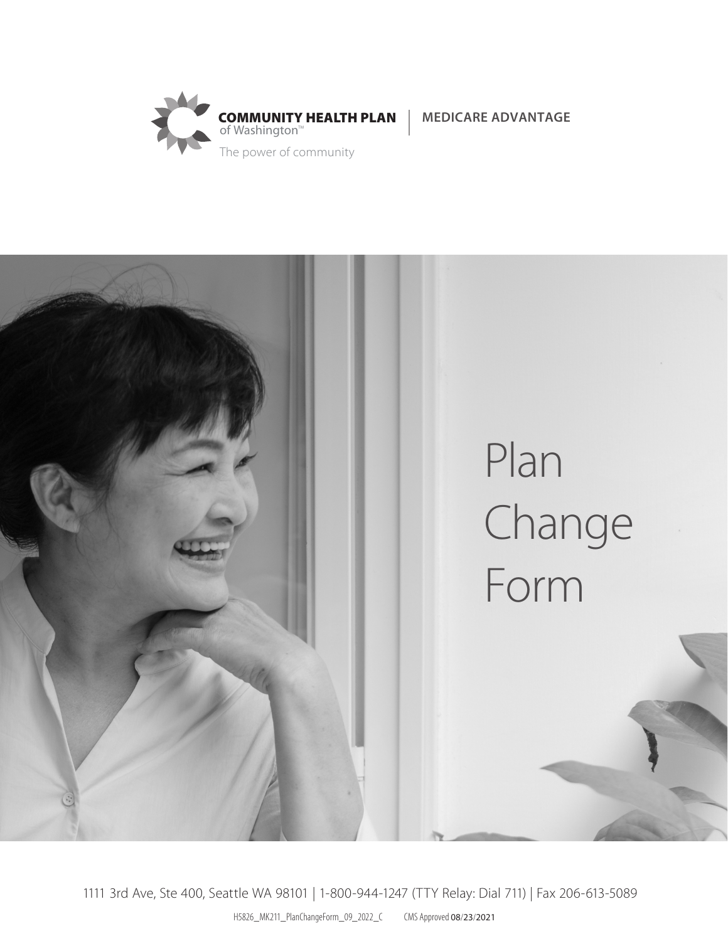





H5826\_MK211\_PlanChangeForm\_09\_2022\_C CMS Approved 08/23/2021 1111 3rd Ave, Ste 400, Seattle WA 98101 | 1-800-944-1247 (TTY Relay: Dial 711) | Fax 206-613-5089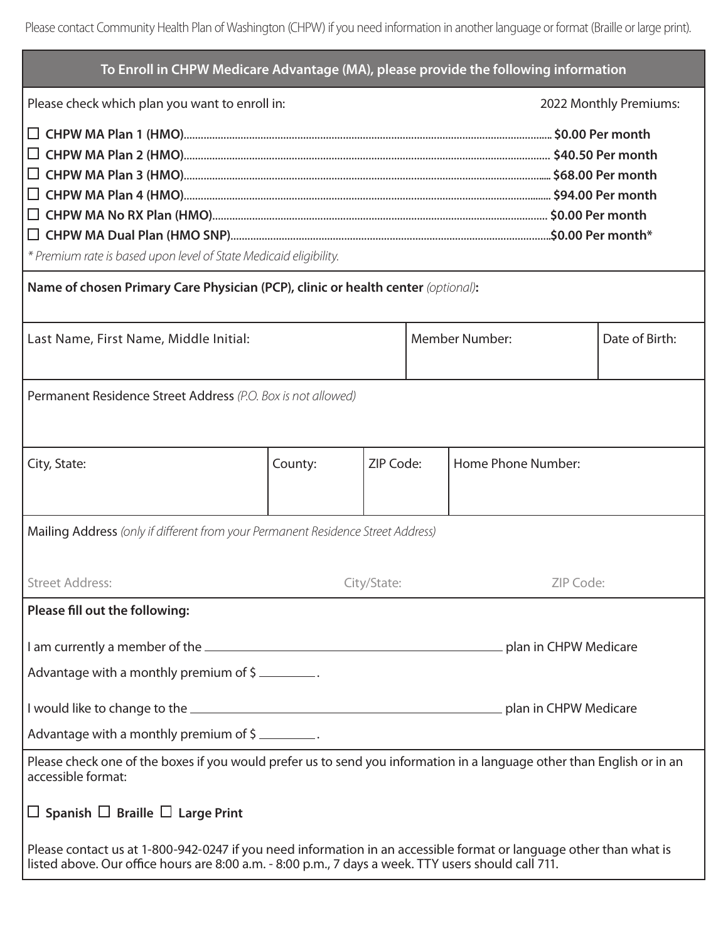| To Enroll in CHPW Medicare Advantage (MA), please provide the following information                                                                                                                                       |             |           |                       |                        |                |  |
|---------------------------------------------------------------------------------------------------------------------------------------------------------------------------------------------------------------------------|-------------|-----------|-----------------------|------------------------|----------------|--|
| Please check which plan you want to enroll in:                                                                                                                                                                            |             |           |                       | 2022 Monthly Premiums: |                |  |
| * Premium rate is based upon level of State Medicaid eligibility.<br>Name of chosen Primary Care Physician (PCP), clinic or health center (optional):                                                                     |             |           |                       |                        |                |  |
| Last Name, First Name, Middle Initial:                                                                                                                                                                                    |             |           | <b>Member Number:</b> |                        | Date of Birth: |  |
| Permanent Residence Street Address (P.O. Box is not allowed)                                                                                                                                                              |             |           |                       |                        |                |  |
| City, State:                                                                                                                                                                                                              | County:     | ZIP Code: |                       | Home Phone Number:     |                |  |
| Mailing Address (only if different from your Permanent Residence Street Address)                                                                                                                                          |             |           |                       |                        |                |  |
| <b>Street Address:</b>                                                                                                                                                                                                    | City/State: |           |                       | ZIP Code:              |                |  |
| Please fill out the following:                                                                                                                                                                                            |             |           |                       |                        |                |  |
|                                                                                                                                                                                                                           |             |           |                       |                        |                |  |
| Advantage with a monthly premium of \$                                                                                                                                                                                    |             |           |                       |                        |                |  |
| Advantage with a monthly premium of \$                                                                                                                                                                                    |             |           |                       |                        |                |  |
| Please check one of the boxes if you would prefer us to send you information in a language other than English or in an<br>accessible format:                                                                              |             |           |                       |                        |                |  |
| $\Box$ Spanish $\Box$ Braille $\Box$ Large Print                                                                                                                                                                          |             |           |                       |                        |                |  |
| Please contact us at 1-800-942-0247 if you need information in an accessible format or language other than what is<br>listed above. Our office hours are 8:00 a.m. - 8:00 p.m., 7 days a week. TTY users should call 711. |             |           |                       |                        |                |  |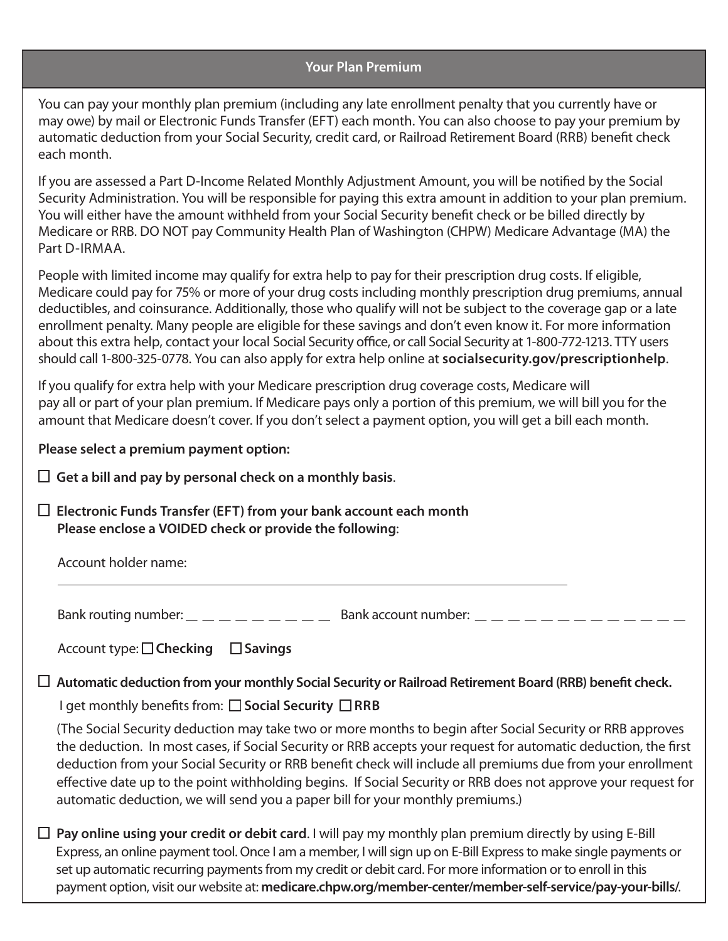## **Your Plan Premium**

You can pay your monthly plan premium (including any late enrollment penalty that you currently have or may owe) by mail or Electronic Funds Transfer (EFT) each month. You can also choose to pay your premium by automatic deduction from your Social Security, credit card, or Railroad Retirement Board (RRB) benefit check each month.

If you are assessed a Part D-Income Related Monthly Adjustment Amount, you will be notified by the Social Security Administration. You will be responsible for paying this extra amount in addition to your plan premium. You will either have the amount withheld from your Social Security benefit check or be billed directly by Medicare or RRB. DO NOT pay Community Health Plan of Washington (CHPW) Medicare Advantage (MA) the Part D-IRMAA.

People with limited income may qualify for extra help to pay for their prescription drug costs. If eligible, Medicare could pay for 75% or more of your drug costs including monthly prescription drug premiums, annual deductibles, and coinsurance. Additionally, those who qualify will not be subject to the coverage gap or a late enrollment penalty. Many people are eligible for these savings and don't even know it. For more information about this extra help, contact your local Social Security office, or call Social Security at 1-800-772-1213. TTY users should call 1-800-325-0778. You can also apply for extra help online at **socialsecurity.gov/prescriptionhelp**.

If you qualify for extra help with your Medicare prescription drug coverage costs, Medicare will pay all or part of your plan premium. If Medicare pays only a portion of this premium, we will bill you for the amount that Medicare doesn't cover. If you don't select a payment option, you will get a bill each month.

**Please select a premium payment option:**

**Get a bill and pay by personal check on a monthly basis**.

**Electronic Funds Transfer (EFT) from your bank account each month Please enclose a VOIDED check or provide the following**:

Account holder name:

Bank routing number: \_ \_ \_ \_ \_ \_ \_ \_ \_ Bank account number: \_ \_ \_ \_ \_ \_ \_ \_ \_ \_ \_ \_ \_

Account type: **□ Checking** □ Savings

## **Automatic deduction from your monthly Social Security or Railroad Retirement Board (RRB) benefit check.**

I get monthly benefits from: **□ Social Security** □ RRB

 (The Social Security deduction may take two or more months to begin after Social Security or RRB approves the deduction. In most cases, if Social Security or RRB accepts your request for automatic deduction, the first deduction from your Social Security or RRB benefit check will include all premiums due from your enrollment effective date up to the point withholding begins. If Social Security or RRB does not approve your request for automatic deduction, we will send you a paper bill for your monthly premiums.)

**Pay online using your credit or debit card**. I will pay my monthly plan premium directly by using E-Bill Express, an online payment tool. Once I am a member, I will sign up on E-Bill Express to make single payments or set up automatic recurring payments from my credit or debit card. For more information or to enroll in this payment option, visit our website at: **medicare.chpw.org/member-center/member-self-service/pay-your-bills/**.